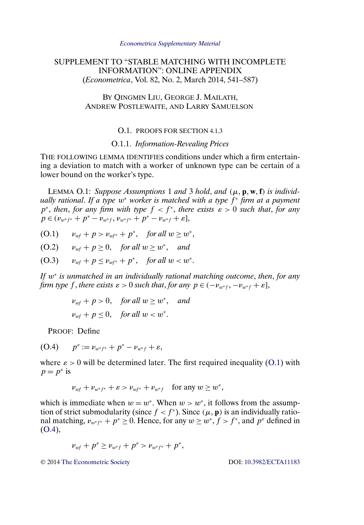# <span id="page-0-0"></span>SUPPLEMENT TO "STABLE MATCHING WITH INCOMPLETE INFORMATION": ONLINE APPENDIX (*Econometrica*, Vol. 82, No. 2, March 2014, 541–587)

## BY QINGMIN LIU, GEORGE J. MAILATH, ANDREW POSTLEWAITE, AND LARRY SAMUELSON

#### O.1. PROOFS FOR SECTION 4.1.3

### O.1.1. *Information-Revealing Prices*

THE FOLLOWING LEMMA IDENTIFIES conditions under which a firm entertaining a deviation to match with a worker of unknown type can be certain of a lower bound on the worker's type.

LEMMA O.1: Suppose Assumptions 1 and 3 hold, and  $(\mu, \mathbf{p}, \mathbf{w}, \mathbf{f})$  is individ*ually rational. If a type*  $w^*$  *worker is matched with a type*  $f^*$  *firm at a payment*  $p^*$ , *then*, *for any firm with type*  $f < f^*$ , *there exists*  $\varepsilon > 0$  *such that, for any*  $p \in (\nu_{w^*f^*} + p^* - \nu_{w^*f}, \nu_{w^*f^*} + p^* - \nu_{w^*f} + \varepsilon],$ 

(O.1)  $v_{wf} + p > v_{wf^*} + p^*$ , for all  $w \ge w^*$ ,

 $(0.2)$   $v_{wf} + p \ge 0$ , for all  $w \ge w^*$ , and

$$
(O.3) \t v_{wf} + p \le v_{wf^*} + p^*, \t for all w < w^*.
$$

*If* w<sup>∗</sup> *is unmatched in an individually rational matching outcome*, *then*, *for any firm type* f, *there exists*  $\varepsilon > 0$  *such that, for any*  $p \in (-\nu_{w^*f}, -\nu_{w^*f} + \varepsilon]$ ,

$$
\nu_{wf} + p > 0, \quad \text{for all } w \ge w^*, \quad \text{and}
$$
\n
$$
\nu_{wf} + p \le 0, \quad \text{for all } w < w^*.
$$

PROOF: Define

(O.4)  $p^{\varepsilon} := \nu_{w^*f^*} + p^* - \nu_{w^*f} + \varepsilon,$ 

where  $\varepsilon > 0$  will be determined later. The first required inequality (O.1) with  $p = p^{\varepsilon}$  is

$$
\nu_{wf} + \nu_{w^*f^*} + \varepsilon > \nu_{wf^*} + \nu_{w^*f} \quad \text{for any } w \ge w^*,
$$

which is immediate when  $w = w^*$ . When  $w > w^*$ , it follows from the assumption of strict submodularity (since  $f < f^*$ ). Since  $(\mu, \mathbf{p})$  is an individually rational matching,  $v_{w^*f^*} + p^* \ge 0$ . Hence, for any  $w \ge w^*$ ,  $f > f^*$ , and  $p^e$  defined in  $(O.4),$ 

$$
\nu_{wf} + p^{\varepsilon} \ge \nu_{w^*f} + p^{\varepsilon} > \nu_{w^*f^*} + p^*,
$$

© 2014 [The Econometric Society](http://www.econometricsociety.org/) DOI: [10.3982/ECTA11183](http://dx.doi.org/10.3982/ECTA11183)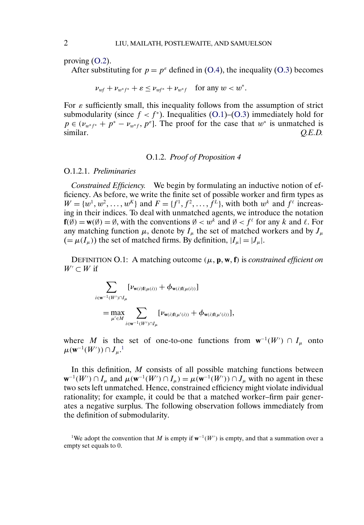proving [\(O.2\)](#page-0-0).

After substituting for  $p = p^e$  defined in [\(O.4\)](#page-0-0), the inequality [\(O.3\)](#page-0-0) becomes

 $\nu_{wf} + \nu_{w^*f^*} + \varepsilon \le \nu_{wf^*} + \nu_{w^*f}$  for any  $w < w^*$ .

For  $\varepsilon$  sufficiently small, this inequality follows from the assumption of strict submodularity (since  $f < f^*$ ). Inequalities [\(O.1\)](#page-0-0)–[\(O.3\)](#page-0-0) immediately hold for  $p \in (v_{w^*f^*} + p^* - v_{w^*f}, p^e]$ . The proof for the case that  $w^*$  is unmatched is similar. *Q.E.D.*

## O.1.2. *Proof of Proposition 4*

## O.1.2.1. *Preliminaries*

*Constrained Efficiency.* We begin by formulating an inductive notion of efficiency. As before, we write the finite set of possible worker and firm types as  $W = \{w^1, w^2, \dots, w^K\}$  and  $F = \{f^1, f^2, \dots, f^L\}$ , with both  $w^k$  and  $f^{\ell}$  increasing in their indices. To deal with unmatched agents, we introduce the notation  $f(\emptyset) = w(\emptyset) = \emptyset$ , with the conventions  $\emptyset < w^k$  and  $\emptyset < f^{\ell}$  for any k and  $\ell$ . For any matching function  $\mu$ , denote by  $I_{\mu}$  the set of matched workers and by  $J_{\mu}$  $(=\mu(I_{\mu}))$  the set of matched firms. By definition,  $|I_{\mu}|=|J_{\mu}|$ .

DEFINITION O.1: A matching outcome  $(\mu, \mathbf{p}, \mathbf{w}, \mathbf{f})$  is *constrained efficient on*  $W' \subset W$  if

$$
\sum_{i \in \mathbf{w}^{-1}(W') \cap I_{\mu}} [\nu_{\mathbf{w}(i)f(\mu(i))} + \phi_{\mathbf{w}(i)f(\mu(i))}]
$$
  
= max 
$$
\sum_{\mu' \in M} \sum_{i \in \mathbf{w}^{-1}(W') \cap I_{\mu}} [\nu_{\mathbf{w}(i)f(\mu'(i))} + \phi_{\mathbf{w}(i)f(\mu'(i))}],
$$

where M is the set of one-to-one functions from  $w^{-1}(W') \cap I_{\mu}$  onto  $\mu(\mathbf{w}^{-1}(W')) \cap J_\mu.^1$ 

In this definition,  $M$  consists of all possible matching functions between  $\mathbf{w}^{-1}(W') \cap I_\mu$  and  $\mu(\mathbf{w}^{-1}(W') \cap I_\mu) = \mu(\mathbf{w}^{-1}(W')) \cap J_\mu$  with no agent in these two sets left unmatched. Hence, constrained efficiency might violate individual rationality; for example, it could be that a matched worker–firm pair generates a negative surplus. The following observation follows immediately from the definition of submodularity.

<sup>1</sup>We adopt the convention that M is empty if  $w^{-1}(W')$  is empty, and that a summation over a empty set equals to 0.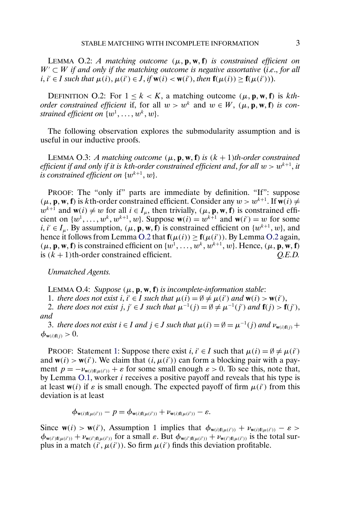<span id="page-2-0"></span>LEMMA  $O.2$ : *A* matching outcome  $(\mu, \mathbf{p}, \mathbf{w}, \mathbf{f})$  is constrained efficient on  $W' \subset W$  if and only if the matching outcome is negative assortative (*i.e.*, for all  $i, i' \in I$  such that  $\mu(i), \mu(i') \in J$ , if  $w(i) < w(i')$ , then  $f(\mu(i)) \ge f(\mu(i'))$ .

DEFINITION O.2: For  $1 \le k < K$ , a matching outcome  $(\mu, \mathbf{p}, \mathbf{w}, \mathbf{f})$  is *kthorder constrained efficient* if, for all  $w > w^k$  and  $w \in W$ ,  $(\mu, \mathbf{p}, \mathbf{w}, \mathbf{f})$  *is con*strained efficient on  $\{w^1, \ldots, w^k, w\}.$ 

The following observation explores the submodularity assumption and is useful in our inductive proofs.

LEMMA O.3: *A matching outcome*  $(\mu, \mathbf{p}, \mathbf{w}, \mathbf{f})$  *is*  $(k + 1)$ *th-order constrained efficient if and only if it is kth-order constrained efficient and, for all*  $w > w^{k+1}$ , *it* is constrained efficient on  $\{w^{k+1}, w\}.$ 

PROOF: The "only if" parts are immediate by definition. "If": suppose  $(\mu, \mathbf{p}, \mathbf{w}, \mathbf{f})$  is kth-order constrained efficient. Consider any  $w > w^{k+1}$ . If  $\mathbf{w}(i) \neq$  $w^{k+1}$  and  $w(i) \neq w$  for all  $i \in I_\mu$ , then trivially,  $(\mu, \mathbf{p}, \mathbf{w}, \mathbf{f})$  is constrained efficient on  $\{w^1, \ldots, w^k, w^{k+1}, w\}$ . Suppose  $\mathbf{w}(i) = w^{k+1}$  and  $\mathbf{w}(i') = w$  for some  $i, i' \in I_\mu$ . By assumption,  $(\mu, \mathbf{p}, \mathbf{w}, \mathbf{f})$  is constrained efficient on  $\{w^{k+1}, w\}$ , and hence it follows from Lemma O.2 that  $f(\mu(i)) \ge f(\mu(i'))$ . By Lemma O.2 again,  $(\mu, \mathbf{p}, \mathbf{w}, \mathbf{f})$  is constrained efficient on  $\{w^1, \dots, w^k, w^{k+1}, w\}$ . Hence,  $(\mu, \mathbf{p}, \mathbf{w}, \mathbf{f})$ is (k + 1)th-order constrained efficient. *Q.E.D.*

*Unmatched Agents.*

LEMMA O.4: *Suppose*  $(\mu, \mathbf{p}, \mathbf{w}, \mathbf{f})$  *is incomplete-information stable:* 

1. *there does not exist*  $i, i' \in I$  *such that*  $\mu(i) = \emptyset \neq \mu(i')$  *and*  $\mathbf{w}(i) > \mathbf{w}(i')$ *,* 

2. there does not exist  $j, j' \in J$  such that  $\mu^{-1}(j) = \emptyset \neq \mu^{-1}(j')$  and  $\mathbf{f}(j) > \mathbf{f}(j')$ , *and*

3. *there does not exist*  $i \in I$  *and*  $j \in J$  *such that*  $\mu(i) = \emptyset = \mu^{-1}(j)$  *and*  $\nu_{\mathbf{w}(i)\mathbf{f}(j)}$  +  $\phi_{\mathbf{w}(i)\mathbf{f}(j)} > 0.$ 

PROOF: Statement 1: Suppose there exist  $i, i' \in I$  such that  $\mu(i) = \emptyset \neq \mu(i')$ and  $w(i) > w(i')$ . We claim that  $(i, \mu(i'))$  can form a blocking pair with a payment  $p = -\nu_{\mathbf{w}(i)\mathbf{f}(\mu(i'))} + \varepsilon$  for some small enough  $\varepsilon > 0$ . To see this, note that, by Lemma [O.1,](#page-0-0) worker  $i$  receives a positive payoff and reveals that his type is at least  $w(i)$  if  $\varepsilon$  is small enough. The expected payoff of firm  $\mu(i')$  from this deviation is at least

$$
\phi_{\mathbf{w}(i)\mathbf{f}(\mu(i'))} - p = \phi_{\mathbf{w}(i)\mathbf{f}(\mu(i'))} + \nu_{\mathbf{w}(i)\mathbf{f}(\mu(i'))} - \varepsilon.
$$

Since  $\mathbf{w}(i) > \mathbf{w}(i')$ , Assumption 1 implies that  $\phi_{\mathbf{w}(i)\mathbf{f}(\mu(i'))} + \nu_{\mathbf{w}(i)\mathbf{f}(\mu(i'))} - \varepsilon >$  $\phi_{\mathbf{w}(i')\mathbf{f}(\mu(i'))} + \nu_{\mathbf{w}(i')\mathbf{f}(\mu(i'))}$  for a small  $\varepsilon$ . But  $\phi_{\mathbf{w}(i')\mathbf{f}(\mu(i'))} + \nu_{\mathbf{w}(i')\mathbf{f}(\mu(i'))}$  is the total surplus in a match  $(i', \mu(i'))$ . So firm  $\mu(i')$  finds this deviation profitable.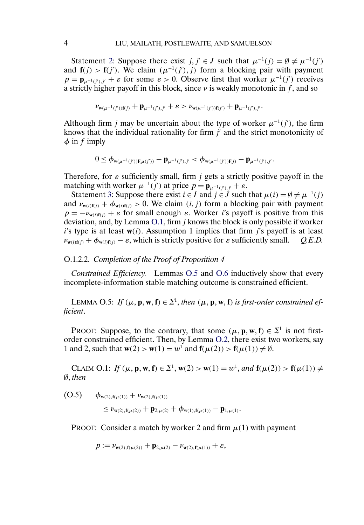<span id="page-3-0"></span>Statement [2:](#page-2-0) Suppose there exist  $j, j' \in J$  such that  $\mu^{-1}(j) = \emptyset \neq \mu^{-1}(j')$ and  $f(j) > f(j')$ . We claim  $(\mu^{-1}(j'), j)$  form a blocking pair with payment  $p = \mathbf{p}_{\mu^{-1}(j'),j'} + \varepsilon$  for some  $\varepsilon > 0$ . Observe first that worker  $\mu^{-1}(j')$  receives a strictly higher payoff in this block, since  $\nu$  is weakly monotonic in f, and so

$$
\nu_{\mathbf{w}(\mu^{-1}(j'))\mathbf{f}(j)} + \mathbf{p}_{\mu^{-1}(j'),j'} + \varepsilon > \nu_{\mathbf{w}(\mu^{-1}(j'))\mathbf{f}(j')} + \mathbf{p}_{\mu^{-1}(j'),j'}.
$$

Although firm j may be uncertain about the type of worker  $\mu^{-1}(j')$ , the firm knows that the individual rationality for firm  $j'$  and the strict monotonicity of  $\phi$  in f imply

$$
0 \leq \phi_{\mathbf{w}(\mu^{-1}(j'))\mathbf{f}(\mu(j'))} - \mathbf{p}_{\mu^{-1}(j'),j'} < \phi_{\mathbf{w}(\mu^{-1}(j'))\mathbf{f}(j)} - \mathbf{p}_{\mu^{-1}(j'),j'}.
$$

Therefore, for  $\varepsilon$  sufficiently small, firm j gets a strictly positive payoff in the matching with worker  $\mu^{-1}(j')$  at price  $p = \mathbf{p}_{\mu^{-1}(j'),j'} + \varepsilon$ .

Statement [3:](#page-2-0) Suppose there exist  $i \in I$  and  $j \in J$  such that  $\mu(i) = \emptyset \neq \mu^{-1}(j)$ and  $\nu_{\mathbf{w}(i)\mathbf{f}(j)} + \phi_{\mathbf{w}(i)\mathbf{f}(j)} > 0$ . We claim  $(i, j)$  form a blocking pair with payment  $p = -\nu_{w(i)f(j)} + \varepsilon$  for small enough  $\varepsilon$ . Worker i's payoff is positive from this deviation, and, by Lemma [O.1,](#page-0-0) firm j knows the block is only possible if worker i's type is at least  $w(i)$ . Assumption 1 implies that firm j's payoff is at least  $\nu_{\mathbf{w}(i)\mathbf{f}(j)} + \phi_{\mathbf{w}(i)\mathbf{f}(j)} - \varepsilon$ , which is strictly positive for  $\varepsilon$  sufficiently small. *Q.E.D.* 

#### O.1.2.2. *Completion of the Proof of Proposition 4*

*Constrained Efficiency.* Lemmas O.5 and [O.6](#page-4-0) inductively show that every incomplete-information stable matching outcome is constrained efficient.

LEMMA O.5: *If*  $(\mu, \mathbf{p}, \mathbf{w}, \mathbf{f}) \in \Sigma^1$ , then  $(\mu, \mathbf{p}, \mathbf{w}, \mathbf{f})$  is first-order constrained ef*ficient*.

PROOF: Suppose, to the contrary, that some  $(\mu, \mathbf{p}, \mathbf{w}, \mathbf{f}) \in \Sigma^1$  is not firstorder constrained efficient. Then, by Lemma [O.2,](#page-2-0) there exist two workers, say 1 and 2, such that **w**(2) > **w**(1) =  $w^1$  and **f**( $\mu$ (2)) > **f**( $\mu$ (1))  $\neq \emptyset$ .

CLAIM O.1: *If* (μ, **p**, **w**, **f**) ∈  $\Sigma$ <sup>1</sup>, **w**(2) > **w**(1) = *w*<sup>1</sup>, *and* **f**(μ(2)) > **f**(μ(1)) ≠ ∅, *then*

 $(0.5)$   $\phi_{w(2), f(\mu(1))} + \nu_{w(2), f(\mu(1))}$ 

 $\leq \nu_{\mathbf{w}(2),\mathbf{f}(\mu(2))} + \mathbf{p}_{2,\mu(2)} + \phi_{\mathbf{w}(1),\mathbf{f}(\mu(1))} - \mathbf{p}_{1,\mu(1)}.$ 

PROOF: Consider a match by worker 2 and firm  $\mu(1)$  with payment

$$
p := \nu_{\mathbf{w}(2), \mathbf{f}(\mu(2))} + \mathbf{p}_{2, \mu(2)} - \nu_{\mathbf{w}(2), \mathbf{f}(\mu(1))} + \varepsilon,
$$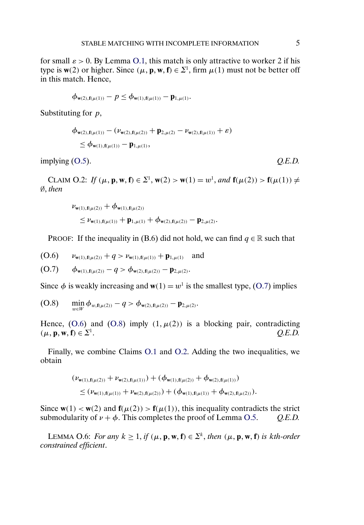<span id="page-4-0"></span>for small  $\varepsilon > 0$ . By Lemma [O.1,](#page-0-0) this match is only attractive to worker 2 if his type is  $w(2)$  or higher. Since  $(\mu, \mathbf{p}, \mathbf{w}, \mathbf{f}) \in \Sigma^1$ , firm  $\mu(1)$  must not be better off in this match. Hence,

$$
\phi_{w(2),f(\mu(1))} - p \le \phi_{w(1),f(\mu(1))} - p_{1,\mu(1)}.
$$

Substituting for *p*,

$$
\begin{aligned} &\phi_{\mathbf{w}(2),\mathbf{f}(\mu(1))}-(\nu_{\mathbf{w}(2),\mathbf{f}(\mu(2))}+\mathbf{p}_{2,\mu(2)}-\nu_{\mathbf{w}(2),\mathbf{f}(\mu(1))}+\varepsilon)\\ &\leq\phi_{\mathbf{w}(1),\mathbf{f}(\mu(1))}-\mathbf{p}_{1,\mu(1)}, \end{aligned}
$$

implying [\(O.5\)](#page-3-0). *Q.E.D.*

CLAIM O.2: *If* (μ, **p**, **w**, **f**) ∈  $\Sigma^1$ , **w**(2) > **w**(1) = *w*<sup>1</sup>, *and* **f**(μ(2)) > **f**(μ(1)) ≠ ∅, *then*

$$
\begin{aligned} & \nu_{\boldsymbol{w}(1),\boldsymbol{f}(\mu(2))} + \boldsymbol{\phi}_{\boldsymbol{w}(1),\boldsymbol{f}(\mu(2))} \\ & \leq \nu_{\boldsymbol{w}(1),\boldsymbol{f}(\mu(1))} + p_{1,\mu(1)} + \boldsymbol{\phi}_{\boldsymbol{w}(2),\boldsymbol{f}(\mu(2))} - p_{2,\mu(2)}. \end{aligned}
$$

PROOF: If the inequality in (B.6) did not hold, we can find  $q \in \mathbb{R}$  such that

$$
(O.6) \qquad \nu_{\mathbf{w}(1),\mathbf{f}(\mu(2))} + q > \nu_{\mathbf{w}(1),\mathbf{f}(\mu(1))} + \mathbf{p}_{1,\mu(1)} \quad \text{and}
$$

**(O.7)**  $\phi_{\mathbf{w}(1),\mathbf{f}(\mu(2))} - q > \phi_{\mathbf{w}(2),\mathbf{f}(\mu(2))} - \mathbf{p}_{2,\mu(2)}.$ 

Since  $\phi$  is weakly increasing and **w**(1) =  $w^1$  is the smallest type, (O.7) implies

$$
(O.8) \quad \min_{w \in W} \phi_{w,\mathbf{f}(\mu(2))} - q > \phi_{\mathbf{w}(2),\mathbf{f}(\mu(2))} - \mathbf{p}_{2,\mu(2)}.
$$

Hence,  $(0.6)$  and  $(0.8)$  imply  $(1, \mu(2))$  is a blocking pair, contradicting  $(\mu, \mathbf{p}, \mathbf{w},$  $f$ )  $\in \Sigma^1$ .  $Q.E.D.$ 

Finally, we combine Claims [O.1](#page-3-0) and O.2. Adding the two inequalities, we obtain

$$
(\nu_{\mathbf{w}(1),\mathbf{f}(\mu(2))} + \nu_{\mathbf{w}(2),\mathbf{f}(\mu(1))}) + (\phi_{\mathbf{w}(1),\mathbf{f}(\mu(2))} + \phi_{\mathbf{w}(2),\mathbf{f}(\mu(1))})
$$
  
\n
$$
\leq (\nu_{\mathbf{w}(1),\mathbf{f}(\mu(1))} + \nu_{\mathbf{w}(2),\mathbf{f}(\mu(2))}) + (\phi_{\mathbf{w}(1),\mathbf{f}(\mu(1))} + \phi_{\mathbf{w}(2),\mathbf{f}(\mu(2))}).
$$

Since  $w(1) < w(2)$  and  $f(\mu(2)) > f(\mu(1))$ , this inequality contradicts the strict submodularity of  $\nu + \phi$ . This completes the proof of Lemma [O.5.](#page-3-0) *Q.E.D.* 

LEMMA O.6: *For any*  $k \ge 1$ , *if*  $(\mu, \mathbf{p}, \mathbf{w}, \mathbf{f}) \in \Sigma^k$ , *then*  $(\mu, \mathbf{p}, \mathbf{w}, \mathbf{f})$  *is kth-order constrained efficient*.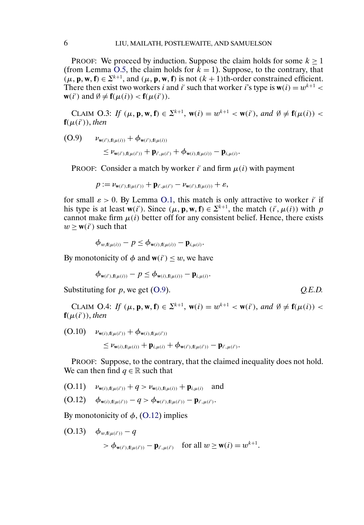<span id="page-5-0"></span>PROOF: We proceed by induction. Suppose the claim holds for some  $k > 1$ (from Lemma [O.5,](#page-3-0) the claim holds for  $\tilde{k} = 1$ ). Suppose, to the contrary, that  $(\mu, \mathbf{p}, \mathbf{w}, \mathbf{f}) \in \Sigma^{k+1}$ , and  $(\mu, \mathbf{p}, \mathbf{w}, \mathbf{f})$  is not  $(k+1)$ th-order constrained efficient. There then exist two workers *i* and *i'* such that worker *i*'s type is  $w(i) = w^{k+1}$ **w**(*i'*) and  $\emptyset \neq \mathbf{f}(\mu(i)) < \mathbf{f}(\mu(i'))$ .

CLAIM O.3: *If*  $(\mu, \mathbf{p}, \mathbf{w}, \mathbf{f}) \in \Sigma^{k+1}$ ,  $\mathbf{w}(i) = w^{k+1} < \mathbf{w}(i')$ , and  $\emptyset \neq \mathbf{f}(\mu(i)) <$  $f(\mu(i'))$ , *then* 

**(O.9)**  $\nu_{\mathbf{w}(i'),\mathbf{f}(\mu(i))} + \phi_{\mathbf{w}(i'),\mathbf{f}(\mu(i))}$ 

$$
\leq \nu_{\mathbf{w}(i'),\mathbf{f}(\mu(i'))} + \mathbf{p}_{i',\mu(i')} + \phi_{\mathbf{w}(i),\mathbf{f}(\mu(i))} - \mathbf{p}_{i,\mu(i)}.
$$

PROOF: Consider a match by worker i' and firm  $\mu(i)$  with payment

$$
p := \nu_{\mathbf{w}(i'),\mathbf{f}(\mu(i'))} + \mathbf{p}_{i',\mu(i')} - \nu_{\mathbf{w}(i'),\mathbf{f}(\mu(i))} + \varepsilon,
$$

for small  $\varepsilon > 0$ . By Lemma [O.1,](#page-0-0) this match is only attractive to worker i' if his type is at least  $w(i')$ . Since  $(\mu, \mathbf{p}, \mathbf{w}, \mathbf{f}) \in \Sigma^{k+1}$ , the match  $(i', \mu(i))$  with p cannot make firm  $\mu(i)$  better off for any consistent belief. Hence, there exists  $w \geq w(i')$  such that

$$
\phi_{w,\mathbf{f}(\mu(i))} - p \leq \phi_{\mathbf{w}(i),\mathbf{f}(\mu(i))} - \mathbf{p}_{i,\mu(i)}.
$$

By monotonicity of  $\phi$  and  $w(i') \leq w$ , we have

$$
\phi_{\mathbf{w}(i'),\mathbf{f}(\mu(i))} - p \leq \phi_{\mathbf{w}(i),\mathbf{f}(\mu(i))} - \mathbf{p}_{i,\mu(i)}.
$$

Substituting for p, we get (O.9).  $Q.E.D.$ 

CLAIM O.4: *If*  $(\mu, \mathbf{p}, \mathbf{w}, \mathbf{f}) \in \Sigma^{k+1}$ ,  $\mathbf{w}(i) = w^{k+1} < \mathbf{w}(i')$ , and  $\emptyset \neq \mathbf{f}(\mu(i)) <$  $f(\mu(i'))$ , *then* 

**(O.10)**  $\nu_{\mathbf{w}(i),\mathbf{f}(\mu(i'))} + \phi_{\mathbf{w}(i),\mathbf{f}(\mu(i'))}$ 

 $\leq \nu_{\mathbf{w}(i),\mathbf{f}(\mu(i))} + \mathbf{p}_{i,\mu(i)} + \phi_{\mathbf{w}(i'),\mathbf{f}(\mu(i'))} - \mathbf{p}_{i',\mu(i')}$ 

PROOF: Suppose, to the contrary, that the claimed inequality does not hold. We can then find  $q \in \mathbb{R}$  such that

- **(O.11)**  $\nu_{\mathbf{w}(i),\mathbf{f}(\mu(i'))} + q > \nu_{\mathbf{w}(i),\mathbf{f}(\mu(i))} + \mathbf{p}_{i,\mu(i)}$  and
- **(O.12)**  $\phi_{\mathbf{w}(i),\mathbf{f}(\mu(i'))} q > \phi_{\mathbf{w}(i'),\mathbf{f}(\mu(i'))} \mathbf{p}_{i',\mu(i')}.$

By monotonicity of  $\phi$ , (O.12) implies

**(O.13)**  $\phi_{w, \mathbf{f}(\mu(i'))} - q$  $> \phi_{\mathbf{w}(i'),\mathbf{f}(\mu(i'))} - \mathbf{p}_{i',\mu(i')}$  for all  $w \geq \mathbf{w}(i) = w^{k+1}$ .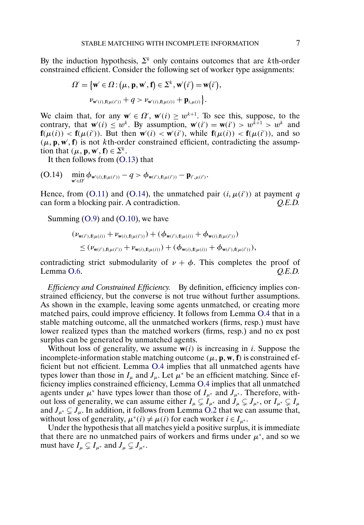By the induction hypothesis,  $\Sigma^k$  only contains outcomes that are kth-order constrained efficient. Consider the following set of worker type assignments:

$$
\Omega' = \left\{ \mathbf{w}' \in \Omega : (\mu, \mathbf{p}, \mathbf{w}', \mathbf{f}) \in \Sigma^k, \mathbf{w}'(i') = \mathbf{w}(i'), \nu_{\mathbf{w}'(i), \mathbf{f}(\mu(i'))} + q > \nu_{\mathbf{w}'(i), \mathbf{f}(\mu(i))} + \mathbf{p}_{i, \mu(i)} \right\}.
$$

We claim that, for any  $w' \in \Omega'$ ,  $w'(i) \geq w^{k+1}$ . To see this, suppose, to the contrary, that  $\mathbf{w}'(i) \leq w^k$ . By assumption,  $\mathbf{w}'(i') = \mathbf{w}(i') > w^{\overline{k}+1} > w^k$  and **f**( $\mu(i)$ ) < **f**( $\mu(i')$ ). But then **w**<sup>(i)</sup> < **w**<sup>(i')</sup>, while **f**( $\mu(i)$ ) < **f**( $\mu(i')$ ), and so  $(\mu, \mathbf{p}, \mathbf{w}', \mathbf{f})$  is not kth-order constrained efficient, contradicting the assumption that  $(\mu, \mathbf{p}, \mathbf{w}', \mathbf{f}) \in \Sigma^k$ .

It then follows from [\(O.13\)](#page-5-0) that

$$
(O.14) \quad \min_{\mathbf{w}'\in\Omega'} \phi_{\mathbf{w}'(i),\mathbf{f}(\mu(i'))} - q > \phi_{\mathbf{w}(i'),\mathbf{f}(\mu(i'))} - \mathbf{p}_{i',\mu(i')}.
$$

Hence, from [\(O.11\)](#page-5-0) and (O.14), the unmatched pair  $(i, \mu(i'))$  at payment q can form a blocking pair. A contradiction. *Q.E.D.*

Summing  $(O.9)$  and  $(O.10)$ , we have

$$
(\nu_{\mathbf{w}(i'),\mathbf{f}(\mu(i))} + \nu_{\mathbf{w}(i),\mathbf{f}(\mu(i'))}) + (\phi_{\mathbf{w}(i'),\mathbf{f}(\mu(i))} + \phi_{\mathbf{w}(i),\mathbf{f}(\mu(i'))})
$$
  
\n
$$
\leq (\nu_{\mathbf{w}(i'),\mathbf{f}(\mu(i'))} + \nu_{\mathbf{w}(i),\mathbf{f}(\mu(i))}) + (\phi_{\mathbf{w}(i),\mathbf{f}(\mu(i))} + \phi_{\mathbf{w}(i'),\mathbf{f}(\mu(i'))}),
$$

contradicting strict submodularity of  $\nu + \phi$ . This completes the proof of Lemma [O.6.](#page-4-0) *Q.E.D.*

*Efficiency and Constrained Efficiency.* By definition, efficiency implies constrained efficiency, but the converse is not true without further assumptions. As shown in the example, leaving some agents unmatched, or creating more matched pairs, could improve efficiency. It follows from Lemma [O.4](#page-2-0) that in a stable matching outcome, all the unmatched workers (firms, resp.) must have lower realized types than the matched workers (firms, resp.) and no ex post surplus can be generated by unmatched agents.

Without loss of generality, we assume  $w(i)$  is increasing in i. Suppose the incomplete-information stable matching outcome  $(\mu, \mathbf{p}, \mathbf{w}, \mathbf{f})$  is constrained efficient but not efficient. Lemma [O.4](#page-2-0) implies that all unmatched agents have types lower than those in  $I_{\mu}$  and  $J_{\mu}$ . Let  $\mu^*$  be an efficient matching. Since efficiency implies constrained efficiency, Lemma [O.4](#page-2-0) implies that all unmatched agents under  $\mu^*$  have types lower than those of  $I_{\mu^*}$  and  $J_{\mu^*}$ . Therefore, without loss of generality, we can assume either  $I_\mu \subsetneq I_{\mu^*}$  and  $J_\mu \subsetneq J_{\mu^*}$ , or  $I_{\mu^*} \subsetneq I_\mu$ and  $J_{\mu^*} \subsetneq J_{\mu}$ . In addition, it follows from Lemma [O.2](#page-2-0) that we can assume that, without loss of generality,  $\mu^*(i) \neq \mu(i)$  for each worker  $i \in I_{\mu^*}$ .

Under the hypothesis that all matches yield a positive surplus, it is immediate that there are no unmatched pairs of workers and firms under  $\mu^*$ , and so we must have  $I_{\mu} \subsetneq I_{\mu^*}$  and  $J_{\mu} \subsetneq J_{\mu^*}$ .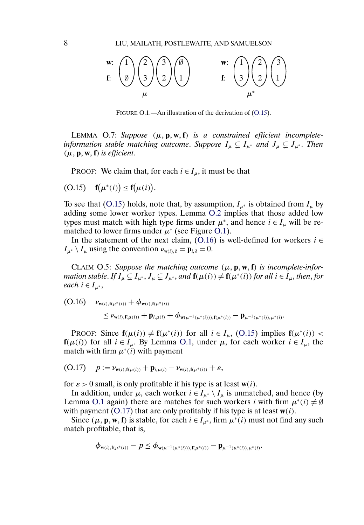<span id="page-7-0"></span>

FIGURE O.1.—An illustration of the derivation of (O.15).

LEMMA O.7: Suppose (μ, **p**, **w**, **f**) is a constrained efficient incomplete*information stable matching outcome. Suppose*  $I_\mu \subsetneq I_{\mu^*}$  and  $J_\mu \subsetneq J_{\mu^*}$ . Then  $(\mu, \mathbf{p}, \mathbf{w}, \mathbf{f})$  *is efficient.* 

PROOF: We claim that, for each  $i \in I_\mu$ , it must be that

$$
(O.15) \quad \mathbf{f}(\mu^*(i)) \leq \mathbf{f}(\mu(i)).
$$

To see that (O.15) holds, note that, by assumption,  $I_{\mu^*}$  is obtained from  $I_{\mu}$  by adding some lower worker types. Lemma [O.2](#page-2-0) implies that those added low types must match with high type firms under  $\mu^*$ , and hence  $i \in I_\mu$  will be rematched to lower firms under  $\mu^*$  (see Figure O.1).

In the statement of the next claim, (O.16) is well-defined for workers  $i \in$  $I_{\mu^*} \setminus I_{\mu}$  using the convention  $\nu_{\mathbf{w}(i),\emptyset} = \mathbf{p}_{i,\emptyset} = 0.$ 

CLAIM O.5: Suppose the matching outcome  $(\mu, \mathbf{p}, \mathbf{w}, \mathbf{f})$  is incomplete-infor*mation stable.* If  $I_\mu \subsetneq I_{\mu^*}$ ,  $J_\mu \subsetneq J_{\mu^*}$ , and  $\mathbf{f}(\mu(i)) \neq \mathbf{f}(\mu^*(i))$  for all  $i \in I_\mu$ , then, for *each*  $i \in I_{\mu^*}$ ,

**(O.16)**  $\nu_{\mathbf{w}(i),\mathbf{f}(\mu^*(i))} + \phi_{\mathbf{w}(i),\mathbf{f}(\mu^*(i))}$ 

$$
\leq \nu_{\mathbf{w}(i),\mathbf{f}(\mu(i))} + \mathbf{p}_{i,\mu(i)} + \phi_{\mathbf{w}(\mu^{-1}(\mu^*(i))),\mathbf{f}(\mu^*(i))} - \mathbf{p}_{\mu^{-1}(\mu^*(i)),\mu^*(i)}.
$$

**PROOF:** Since  $f(\mu(i)) \neq f(\mu^*(i))$  for all  $i \in I_\mu$ , (O.15) implies  $f(\mu^*(i))$  < **f**( $\mu(i)$ ) for all  $i \in I_{\mu}$ . By Lemma [O.1,](#page-0-0) under  $\mu$ , for each worker  $i \in I_{\mu}$ , the match with firm  $\mu^*(i)$  with payment

$$
(O.17) \quad p := \nu_{\mathbf{w}(i), \mathbf{f}(\mu(i))} + \mathbf{p}_{i, \mu(i)} - \nu_{\mathbf{w}(i), \mathbf{f}(\mu^*(i))} + \varepsilon,
$$

for  $\varepsilon > 0$  small, is only profitable if his type is at least  $w(i)$ .

In addition, under  $\mu$ , each worker  $i \in I_{\mu^*} \setminus I_{\mu}$  is unmatched, and hence (by Lemma [O.1](#page-0-0) again) there are matches for such workers *i* with firm  $\mu^*(i) \neq \emptyset$ with payment  $(0.17)$  that are only profitably if his type is at least  $w(i)$ .

Since  $(\mu, \mathbf{p}, \mathbf{w}, \mathbf{f})$  is stable, for each  $i \in I_{\mu^*}$ , firm  $\mu^*(i)$  must not find any such match profitable, that is,

$$
\phi_{\mathbf{w}(i),\mathbf{f}(\mu^*(i))} - p \le \phi_{\mathbf{w}(\mu^{-1}(\mu^*(i))),\mathbf{f}(\mu^*(i))} - \mathbf{p}_{\mu^{-1}(\mu^*(i)),\mu^*(i)}.
$$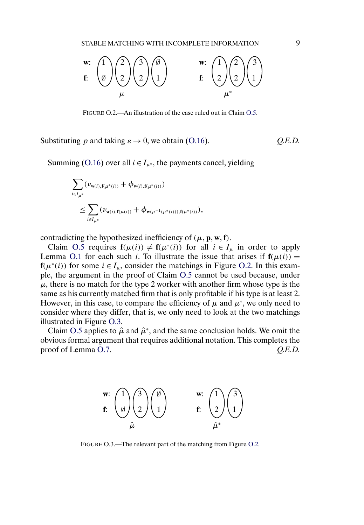

FIGURE O.2.—An illustration of the case ruled out in Claim [O.5.](#page-7-0)

Substituting p and taking  $\varepsilon \to 0$ , we obtain [\(O.16\)](#page-7-0).  $Q.E.D.$ 

Summing [\(O.16\)](#page-7-0) over all  $i \in I_{\mu^*}$ , the payments cancel, yielding

$$
\sum_{i \in I_{\mu^*}} (\nu_{\mathbf{w}(i), f(\mu^*(i))} + \phi_{\mathbf{w}(i), f(\mu^*(i))})
$$
\n
$$
\leq \sum_{i \in I_{\mu^*}} (\nu_{\mathbf{w}(i), f(\mu(i))} + \phi_{\mathbf{w}(\mu^{-1}(\mu^*(i))), f(\mu^*(i))}),
$$

contradicting the hypothesized inefficiency of  $(\mu, \mathbf{p}, \mathbf{w}, \mathbf{f})$ .

Claim [O.5](#page-7-0) requires  $f(\mu(i)) \neq f(\mu^*(i))$  for all  $i \in I_\mu$  in order to apply Lemma [O.1](#page-0-0) for each such i. To illustrate the issue that arises if  $f(\mu(i)) =$  $f(\mu^*(i))$  for some  $i \in I_\mu$ , consider the matchings in Figure O.2. In this example, the argument in the proof of Claim [O.5](#page-7-0) cannot be used because, under  $\mu$ , there is no match for the type 2 worker with another firm whose type is the same as his currently matched firm that is only profitable if his type is at least 2. However, in this case, to compare the efficiency of  $\mu$  and  $\mu^*$ , we only need to consider where they differ, that is, we only need to look at the two matchings illustrated in Figure O.3.

Claim [O.5](#page-7-0) applies to  $\hat{\mu}$  and  $\hat{\mu}^*$ , and the same conclusion holds. We omit the obvious formal argument that requires additional notation. This completes the proof of Lemma [O.7.](#page-7-0) *Q.E.D. Q.E.D.* 



FIGURE O.3.—The relevant part of the matching from Figure O.2.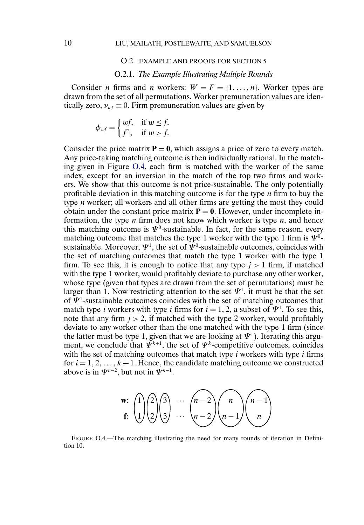### O.2. EXAMPLE AND PROOFS FOR SECTION 5

#### O.2.1. *The Example Illustrating Multiple Rounds*

Consider *n* firms and *n* workers:  $W = F = \{1, ..., n\}$ . Worker types are drawn from the set of all permutations. Worker premuneration values are identically zero,  $v_{wf} \equiv 0$ . Firm premuneration values are given by

$$
\phi_{wf} = \begin{cases} wf, & \text{if } w \le f, \\ f^2, & \text{if } w > f. \end{cases}
$$

Consider the price matrix  $P = 0$ , which assigns a price of zero to every match. Any price-taking matching outcome is then individually rational. In the matching given in Figure O.4, each firm is matched with the worker of the same index, except for an inversion in the match of the top two firms and workers. We show that this outcome is not price-sustainable. The only potentially profitable deviation in this matching outcome is for the type  $n$  firm to buy the type n worker; all workers and all other firms are getting the most they could obtain under the constant price matrix  $P = 0$ . However, under incomplete information, the type  $n$  firm does not know which worker is type  $n$ , and hence this matching outcome is  $\Psi^0$ -sustainable. In fact, for the same reason, every matching outcome that matches the type 1 worker with the type 1 firm is  $\Psi^0$ sustainable. Moreover,  $\Psi^1$ , the set of  $\Psi^0$ -sustainable outcomes, coincides with the set of matching outcomes that match the type 1 worker with the type 1 firm. To see this, it is enough to notice that any type  $j > 1$  firm, if matched with the type 1 worker, would profitably deviate to purchase any other worker, whose type (given that types are drawn from the set of permutations) must be larger than 1. Now restricting attention to the set  $\Psi^1$ , it must be that the set of  $\Psi^1$ -sustainable outcomes coincides with the set of matching outcomes that match type *i* workers with type *i* firms for  $i = 1, 2$ , a subset of  $\Psi^1$ . To see this, note that any firm  $j > 2$ , if matched with the type 2 worker, would profitably deviate to any worker other than the one matched with the type 1 firm (since the latter must be type 1, given that we are looking at  $\Psi^1$ ). Iterating this argument, we conclude that  $\Psi^{k+1}$ , the set of  $\Psi^k$ -competitive outcomes, coincides with the set of matching outcomes that match type  $i$  workers with type  $i$  firms for  $i = 1, 2, ..., k+1$ . Hence, the candidate matching outcome we constructed above is in  $\Psi^{n-2}$ , but not in  $\Psi^{n-1}$ .

$$
\mathbf{w:} \begin{pmatrix} 1 \\ 1 \end{pmatrix} \begin{pmatrix} 2 \\ 2 \end{pmatrix} \begin{pmatrix} 3 \\ 3 \end{pmatrix} \cdots \begin{pmatrix} n-2 \\ n-2 \end{pmatrix} \begin{pmatrix} n \\ n-1 \end{pmatrix} \begin{pmatrix} n-1 \\ n \end{pmatrix}
$$

FIGURE O.4.—The matching illustrating the need for many rounds of iteration in Definition 10.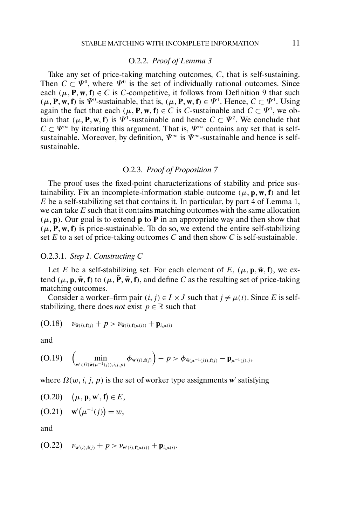## O.2.2. *Proof of Lemma 3*

<span id="page-10-0"></span>Take any set of price-taking matching outcomes, C, that is self-sustaining. Then  $C \subset \Psi^0$ , where  $\Psi^0$  is the set of individually rational outcomes. Since each  $(\mu, P, w, f) \in C$  is C-competitive, it follows from Definition 9 that such  $(\mu, \mathbf{P}, \mathbf{w}, \mathbf{f})$  is  $\Psi^0$ -sustainable, that is,  $(\mu, \mathbf{P}, \mathbf{w}, \mathbf{f}) \in \Psi^1$ . Hence,  $C \subset \Psi^1$ . Using again the fact that each  $(\mu, \mathbf{P}, \mathbf{w}, \mathbf{f}) \in C$  is *C*-sustainable and  $C \subset \Psi^1$ , we obtain that  $(\mu, P, w, f)$  is  $\Psi^1$ -sustainable and hence  $C \subset \Psi^2$ . We conclude that  $C \subset \Psi^{\infty}$  by iterating this argument. That is,  $\Psi^{\infty}$  contains any set that is selfsustainable. Moreover, by definition,  $\Psi^{\infty}$  is  $\Psi^{\infty}$ -sustainable and hence is selfsustainable.

## O.2.3. *Proof of Proposition 7*

The proof uses the fixed-point characterizations of stability and price sustainability. Fix an incomplete-information stable outcome  $(\mu, \mathbf{p}, \mathbf{w}, \mathbf{f})$  and let E be a self-stabilizing set that contains it. In particular, by part 4 of Lemma 1, we can take  $E$  such that it contains matching outcomes with the same allocation  $(\mu, \mathbf{p})$ . Our goal is to extend  $\mathbf{p}$  to  $\mathbf{P}$  in an appropriate way and then show that  $(\mu, P, w, f)$  is price-sustainable. To do so, we extend the entire self-stabilizing set  $E$  to a set of price-taking outcomes  $C$  and then show  $C$  is self-sustainable.

### O.2.3.1. *Step 1. Constructing* C

Let E be a self-stabilizing set. For each element of E,  $(\mu, \mathbf{p}, \tilde{\mathbf{w}}, \mathbf{f})$ , we extend  $(\mu, \mathbf{p}, \tilde{\mathbf{w}}, \mathbf{f})$  to  $(\mu, \tilde{\mathbf{P}}, \tilde{\mathbf{w}}, \mathbf{f})$ , and define C as the resulting set of price-taking matching outcomes.

Consider a worker–firm pair  $(i, j) \in I \times J$  such that  $j \neq \mu(i)$ . Since E is selfstabilizing, there does *not* exist  $p \in \mathbb{R}$  such that

$$
(O.18) \quad \nu_{\tilde{\mathbf{w}}(i),\mathbf{f}(j)} + p > \nu_{\tilde{\mathbf{w}}(i),\mathbf{f}(\mu(i))} + \mathbf{p}_{i,\mu(i)}
$$

and

$$
(O.19) \quad \left(\min_{\mathbf{w}' \in \Omega(\tilde{\mathbf{w}}(\mu^{-1}(j)), i, j, p)} \phi_{\mathbf{w}'(i), \mathbf{f}(j)}\right) - p > \phi_{\tilde{\mathbf{w}}(\mu^{-1}(j)), \mathbf{f}(j)} - \mathbf{p}_{\mu^{-1}(j), j},
$$

where  $\Omega(w, i, j, p)$  is the set of worker type assignments **w** satisfying

$$
(O.20) \quad (\mu, \mathbf{p}, \mathbf{w}', \mathbf{f}) \in E,
$$

(O.21) 
$$
\mathbf{w}'(\mu^{-1}(j)) = w
$$
,

and

$$
(O.22) \t\nu_{w'(i), f(j)} + p > \nu_{w'(i), f(\mu(i))} + \mathbf{p}_{i, \mu(i)}.
$$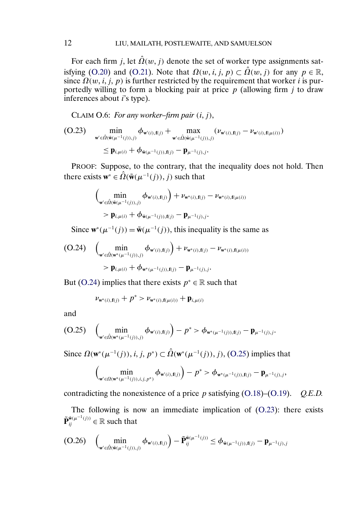<span id="page-11-0"></span>For each firm j, let  $\hat{\Omega}(w, j)$  denote the set of worker type assignments sat-isfying [\(O.20\)](#page-10-0) and [\(O.21\)](#page-10-0). Note that  $\Omega(w, i, j, p) \subset \hat{\Omega}(w, j)$  for any  $p \in \mathbb{R}$ , since  $\Omega(w, i, j, p)$  is further restricted by the requirement that worker i is purportedly willing to form a blocking pair at price  $p$  (allowing firm  $j$  to draw inferences about  $i$ 's type).

CLAIM  $O.6$ : For any worker–firm pair  $(i, j)$ ,

$$
\begin{aligned} \text{(O.23)} \quad & \min_{\mathbf{w}' \in \hat{\Omega}(\tilde{\mathbf{w}}(\mu^{-1}(j)),j)} \phi_{\mathbf{w}'(i),\mathbf{f}(j)} + \max_{\mathbf{w}' \in \hat{\Omega}(\tilde{\mathbf{w}}(\mu^{-1}(j)),j)} (\nu_{\mathbf{w}'(i),\mathbf{f}(j)} - \nu_{\mathbf{w}'(i),\mathbf{f}(\mu(i))}) \\ &\leq \mathbf{p}_{i,\mu(i)} + \phi_{\tilde{\mathbf{w}}(\mu^{-1}(j)),\mathbf{f}(j)} - \mathbf{p}_{\mu^{-1}(j),j}. \end{aligned}
$$

PROOF: Suppose, to the contrary, that the inequality does not hold. Then there exists  $\mathbf{w}^* \in \hat{\Omega}(\tilde{\mathbf{w}}(\mu^{-1}(j)), j)$  such that

$$
\begin{aligned} & \Big(\min_{\mathbf{w}'\in\hat{\Omega}(\tilde{\mathbf{w}}(\mu^{-1}(j)),j)} \boldsymbol{\phi}_{\mathbf{w}'(i),\mathbf{f}(j)}\Big) + \nu_{\mathbf{w}^*(i),\mathbf{f}(j)} - \nu_{\mathbf{w}^*(i),\mathbf{f}(\mu(i))} \\ &> \mathbf{p}_{i,\mu(i)} + \boldsymbol{\phi}_{\tilde{\mathbf{w}}(\mu^{-1}(j)),\mathbf{f}(j)} - \mathbf{p}_{\mu^{-1}(j),j}. \end{aligned}
$$

Since  $\mathbf{w}^*(\mu^{-1}(j)) = \tilde{\mathbf{w}}(\mu^{-1}(j))$ , this inequality is the same as

$$
\begin{aligned} \text{(O.24)} \quad & \left( \min_{\mathbf{w}' \in \hat{\Omega}(\mathbf{w}^*(\mu^{-1}(j)),j)} \phi_{\mathbf{w}'(i),\mathbf{f}(j)} \right) + \nu_{\mathbf{w}^*(i),\mathbf{f}(j)} - \nu_{\mathbf{w}^*(i),\mathbf{f}(\mu(i))} \\ &> \mathbf{p}_{i,\mu(i)} + \phi_{\mathbf{w}^*(\mu^{-1}(j)),\mathbf{f}(j)} - \mathbf{p}_{\mu^{-1}(j),j}. \end{aligned}
$$

But (O.24) implies that there exists  $p^* \in \mathbb{R}$  such that

$$
\nu_{\mathbf{w}^*(i),\mathbf{f}(j)} + p^* > \nu_{\mathbf{w}^*(i),\mathbf{f}(\mu(i))} + \mathbf{p}_{i,\mu(i)}
$$

and

$$
(O.25) \quad \left(\min_{\mathbf{w}' \in \hat{\Omega}(\mathbf{w}^*(\mu^{-1}(j)),j)} \phi_{\mathbf{w}'(i),\mathbf{f}(j)}\right) - p^* > \phi_{\mathbf{w}^*(\mu^{-1}(j)),\mathbf{f}(j)} - \mathbf{p}_{\mu^{-1}(j),j}.
$$

Since  $\Omega(\mathbf{w}^*(\mu^{-1}(j)), i, j, p^*) \subset \hat{\Omega}(\mathbf{w}^*(\mu^{-1}(j)), j)$ , (O.25) implies that

$$
\left(\min_{\mathbf{w}'\in \Omega(\mathbf{w}^*(\mu^{-1}(j)), i, j, p^*)}\phi_{\mathbf{w}'(i), \mathbf{f}(j)}\right) - p^* > \phi_{\mathbf{w}^*(\mu^{-1}(j)), \mathbf{f}(j)} - \mathbf{p}_{\mu^{-1}(j), j},
$$

contradicting the nonexistence of a price p satisfying [\(O.18\)](#page-10-0)–[\(O.19\)](#page-10-0). *Q.E.D.*

The following is now an immediate implication of (O.23): there exists  $\tilde{\mathbf{P}}_{ij}^{\tilde{\mathbf{w}}(\mu^{-1}(j))} \in \mathbb{R}$  such that

$$
\text{(O.26)} \quad \left( \min_{\mathbf{w}' \in \hat{\Omega}(\tilde{\mathbf{w}}(\mu^{-1}(j)),j)} \boldsymbol{\phi}_{\mathbf{w}'(i),\mathbf{f}(j)} \right) - \tilde{\mathbf{P}}_{ij}^{\tilde{\mathbf{w}}(\mu^{-1}(j))} \le \boldsymbol{\phi}_{\tilde{\mathbf{w}}(\mu^{-1}(j)),\mathbf{f}(j)} - \mathbf{p}_{\mu^{-1}(j),j}
$$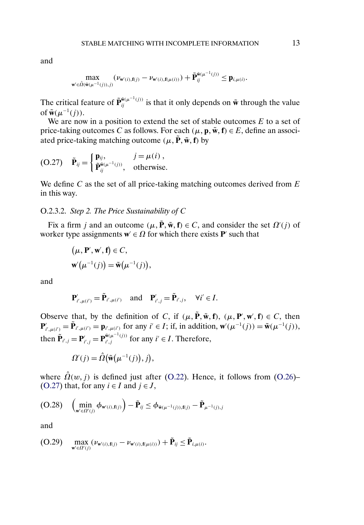<span id="page-12-0"></span>
$$
\max_{\mathbf{w}'\in\hat{\Omega}(\tilde{\mathbf{w}}(\mu^{-1}(j)),j)}(\nu_{\mathbf{w}'(i),\mathbf{f}(j)}-\nu_{\mathbf{w}'(i),\mathbf{f}(\mu(i))})+\tilde{\mathbf{P}}^{\tilde{\mathbf{w}}(\mu^{-1}(j))}_{ij}\leq \mathbf{p}_{i,\mu(i)}.
$$

The critical feature of  $\tilde{\mathbf{P}}_{ij}^{\tilde{\mathbf{w}}(\mu^{-1}(j))}$  is that it only depends on  $\tilde{\mathbf{w}}$  through the value of  $\tilde{\mathbf{w}}(\mu^{-1}(j)).$ 

We are now in a position to extend the set of stable outcomes  $E$  to a set of price-taking outcomes C as follows. For each  $(\mu, \mathbf{p}, \tilde{\mathbf{w}}, \mathbf{f}) \in E$ , define an associated price-taking matching outcome  $(\mu, \tilde{P}, \tilde{w}, f)$  by

$$
(O.27) \quad \tilde{\mathbf{P}}_{ij} = \begin{cases} \mathbf{p}_{ij}, & j = \mu(i), \\ \tilde{\mathbf{P}}_{ij}^{\tilde{\mathbf{w}}(\mu^{-1}(j))}, & \text{otherwise.} \end{cases}
$$

We define  $C$  as the set of all price-taking matching outcomes derived from  $E$ in this way.

# O.2.3.2. *Step 2. The Price Sustainability of* C

Fix a firm j and an outcome  $(\mu, \tilde{P}, \tilde{w}, f) \in C$ , and consider the set  $\Omega'(j)$  of worker type assignments  $\mathbf{w}' \in \Omega$  for which there exists **P**' such that

$$
(\mu, \mathbf{P}', \mathbf{w}', \mathbf{f}) \in C,
$$
  

$$
\mathbf{w}'(\mu^{-1}(j)) = \tilde{\mathbf{w}}(\mu^{-1}(j)),
$$

and

$$
\mathbf{P}'_{i',\mu(i')} = \tilde{\mathbf{P}}_{i',\mu(i')} \text{ and } \mathbf{P}'_{i',j} = \tilde{\mathbf{P}}_{i',j}, \quad \forall i' \in I.
$$

Observe that, by the definition of C, if  $(\mu, \tilde{P}, \tilde{w}, f)$ ,  $(\mu, P', w', f) \in C$ , then  $P'_{i',\mu(i')} = \tilde{P}_{i',\mu(i')} = p_{i',\mu(i')}$  for any  $i' \in I$ ; if, in addition,  $w'(\mu^{-1}(j)) = \tilde{w}(\mu^{-1}(j)),$ then  $\tilde{\mathbf{P}}_{i',j} = \mathbf{P}_{i',j}^{\tilde{\mathbf{w}}(\mu^{-1}(j))}$  for any  $i' \in I$ . Therefore,

$$
\Omega'(j) = \hat{\Omega}(\tilde{\mathbf{w}}(\mu^{-1}(j)), j),
$$

where  $\hat{\Omega}(w, j)$  is defined just after [\(O.22\)](#page-10-0). Hence, it follows from [\(O.26\)](#page-11-0)– (O.27) that, for any  $i \in I$  and  $j \in J$ ,

$$
(O.28) \quad \left(\min_{\mathbf{w}'\in\Omega'(j)}\boldsymbol{\phi}_{\mathbf{w}'(i),\mathbf{f}(j)}\right)-\tilde{\mathbf{P}}_{ij}\leq\boldsymbol{\phi}_{\tilde{\mathbf{w}}(\mu^{-1}(j)),\mathbf{f}(j)}-\tilde{\mathbf{P}}_{\mu^{-1}(j),j}
$$

and

$$
\text{(O.29)} \quad \max_{\mathbf{w}' \in \Omega'(j)} (\nu_{\mathbf{w}'(i),\mathbf{f}(j)} - \nu_{\mathbf{w}'(i),\mathbf{f}(\mu(i))}) + \tilde{\mathbf{P}}_{ij} \leq \tilde{\mathbf{P}}_{i,\mu(i)}.
$$